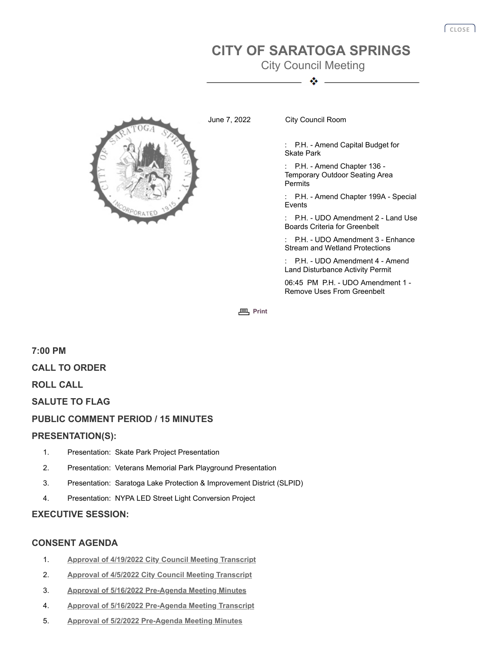# **CITY OF SARATOGA SPRINGS**

City Council Meeting ◈



June 7, 2022 City Council Room

: P.H. - Amend Capital Budget for Skate Park

: P.H. - Amend Chapter 136 - Temporary Outdoor Seating Area Permits

P.H. - Amend Chapter 199A - Special Events

P.H. - UDO Amendment 2 - Land Use Boards Criteria for Greenbelt

P.H. - UDO Amendment 3 - Enhance Stream and Wetland Protections

P.H. - UDO Amendment 4 - Amend Land Disturbance Activity Permit

06:45 PM P.H. - UDO Amendment 1 - Remove Uses From Greenbelt

**[Print](javascript:history.go(0);)** 

**7:00 PM CALL TO ORDER ROLL CALL SALUTE TO FLAG PUBLIC COMMENT PERIOD / 15 MINUTES PRESENTATION(S):** 1. Presentation: Skate Park Project Presentation

- 2. Presentation: Veterans Memorial Park Playground Presentation
- 3. Presentation: Saratoga Lake Protection & Improvement District (SLPID)
- 4. Presentation: NYPA LED Street Light Conversion Project

### **EXECUTIVE SESSION:**

## **CONSENT AGENDA**

- 1. **[Approval of 4/19/2022 City Council Meeting Transcript](http://agenda.saratoga-springs.org/agendainternal/Bluesheet.aspx?ItemID=19923&MeetingID=1561)**
- 2. **[Approval of 4/5/2022 City Council Meeting Transcript](http://agenda.saratoga-springs.org/agendainternal/Bluesheet.aspx?ItemID=19922&MeetingID=1561)**
- 3. **[Approval of 5/16/2022 Pre-Agenda Meeting Minutes](http://agenda.saratoga-springs.org/agendainternal/Bluesheet.aspx?ItemID=19944&MeetingID=1561)**
- 4. **[Approval of 5/16/2022 Pre-Agenda Meeting Transcript](http://agenda.saratoga-springs.org/agendainternal/Bluesheet.aspx?ItemID=19924&MeetingID=1561)**
- 5. **[Approval of 5/2/2022 Pre-Agenda Meeting Minutes](http://agenda.saratoga-springs.org/agendainternal/Bluesheet.aspx?ItemID=19943&MeetingID=1561)**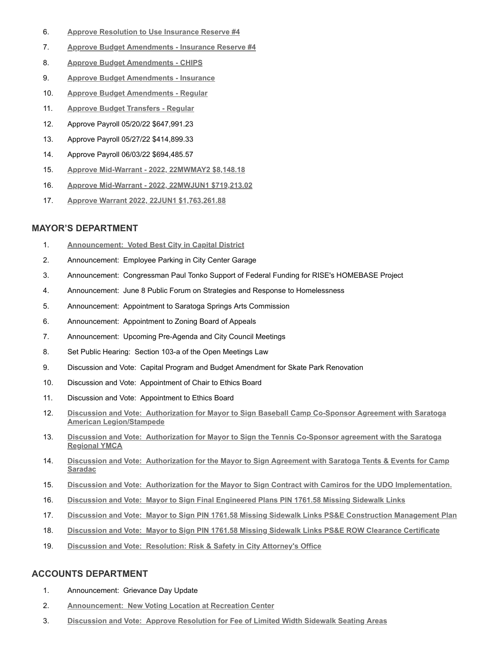- 6. **[Approve Resolution to Use Insurance Reserve #4](http://agenda.saratoga-springs.org/agendainternal/Bluesheet.aspx?ItemID=19927&MeetingID=1561)**
- 7. **[Approve Budget Amendments Insurance Reserve #4](http://agenda.saratoga-springs.org/agendainternal/Bluesheet.aspx?ItemID=19926&MeetingID=1561)**
- 8. **[Approve Budget Amendments CHIPS](http://agenda.saratoga-springs.org/agendainternal/Bluesheet.aspx?ItemID=19928&MeetingID=1561)**
- 9. **[Approve Budget Amendments Insurance](http://agenda.saratoga-springs.org/agendainternal/Bluesheet.aspx?ItemID=19925&MeetingID=1561)**
- 10. **[Approve Budget Amendments Regular](http://agenda.saratoga-springs.org/agendainternal/Bluesheet.aspx?ItemID=19929&MeetingID=1561)**
- 11. **[Approve Budget Transfers Regular](http://agenda.saratoga-springs.org/agendainternal/Bluesheet.aspx?ItemID=19878&MeetingID=1561)**
- 12. Approve Payroll 05/20/22 \$647,991.23
- 13. Approve Payroll 05/27/22 \$414,899.33
- 14. Approve Payroll 06/03/22 \$694,485.57
- 15. **[Approve Mid-Warrant 2022, 22MWMAY2 \\$8,148.18](http://agenda.saratoga-springs.org/agendainternal/Bluesheet.aspx?ItemID=19875&MeetingID=1561)**
- 16. **[Approve Mid-Warrant 2022, 22MWJUN1 \\$719,213.02](http://agenda.saratoga-springs.org/agendainternal/Bluesheet.aspx?ItemID=19889&MeetingID=1561)**
- 17. **[Approve Warrant 2022, 22JUN1 \\$1,763,261.88](http://agenda.saratoga-springs.org/agendainternal/Bluesheet.aspx?ItemID=19880&MeetingID=1561)**

#### **MAYOR'S DEPARTMENT**

- 1. **Announcement: [Voted Best City in Capital District](http://agenda.saratoga-springs.org/agendainternal/Bluesheet.aspx?ItemID=19918&MeetingID=1561)**
- 2. Announcement: Employee Parking in City Center Garage
- 3. Announcement: Congressman Paul Tonko Support of Federal Funding for RISE's HOMEBASE Project
- 4. Announcement: June 8 Public Forum on Strategies and Response to Homelessness
- 5. Announcement: Appointment to Saratoga Springs Arts Commission
- 6. Announcement: Appointment to Zoning Board of Appeals
- 7. Announcement: Upcoming Pre-Agenda and City Council Meetings
- 8. Set Public Hearing: Section 103-a of the Open Meetings Law
- 9. Discussion and Vote: Capital Program and Budget Amendment for Skate Park Renovation
- 10. Discussion and Vote: Appointment of Chair to Ethics Board
- 11. Discussion and Vote: Appointment to Ethics Board
- 12. **Discussion and Vote: [Authorization for Mayor to Sign Baseball Camp Co-Sponsor Agreement with Saratoga](http://agenda.saratoga-springs.org/agendainternal/Bluesheet.aspx?ItemID=19902&MeetingID=1561) American Legion/Stampede**
- 13. **Discussion and Vote: [Authorization for Mayor to Sign the Tennis Co-Sponsor agreement with the Saratoga](http://agenda.saratoga-springs.org/agendainternal/Bluesheet.aspx?ItemID=19888&MeetingID=1561) Regional YMCA**
- 14. **Discussion and Vote: [Authorization for the Mayor to Sign Agreement with Saratoga Tents & Events for Camp](http://agenda.saratoga-springs.org/agendainternal/Bluesheet.aspx?ItemID=19791&MeetingID=1561) Saradac**
- 15. **Discussion and Vote: [Authorization for the Mayor to Sign Contract with Camiros for the UDO Implementation.](http://agenda.saratoga-springs.org/agendainternal/Bluesheet.aspx?ItemID=19914&MeetingID=1561)**
- 16. **Discussion and Vote: [Mayor to Sign Final Engineered Plans PIN 1761.58 Missing Sidewalk Links](http://agenda.saratoga-springs.org/agendainternal/Bluesheet.aspx?ItemID=19895&MeetingID=1561)**
- 17. **Discussion and Vote: [Mayor to Sign PIN 1761.58 Missing Sidewalk Links PS&E Construction Management Plan](http://agenda.saratoga-springs.org/agendainternal/Bluesheet.aspx?ItemID=19896&MeetingID=1561)**
- 18. **Discussion and Vote: [Mayor to Sign PIN 1761.58 Missing Sidewalk Links PS&E ROW Clearance Certificate](http://agenda.saratoga-springs.org/agendainternal/Bluesheet.aspx?ItemID=19897&MeetingID=1561)**
- 19. **Discussion and Vote: [Resolution: Risk & Safety in City Attorney's Office](http://agenda.saratoga-springs.org/agendainternal/Bluesheet.aspx?ItemID=19945&MeetingID=1561)**

### **ACCOUNTS DEPARTMENT**

- 1. Announcement: Grievance Day Update
- 2. **Announcement: [New Voting Location at Recreation Center](http://agenda.saratoga-springs.org/agendainternal/Bluesheet.aspx?ItemID=19911&MeetingID=1561)**
- 3. **Discussion and Vote: [Approve Resolution for Fee of Limited Width Sidewalk Seating Areas](http://agenda.saratoga-springs.org/agendainternal/Bluesheet.aspx?ItemID=19913&MeetingID=1561)**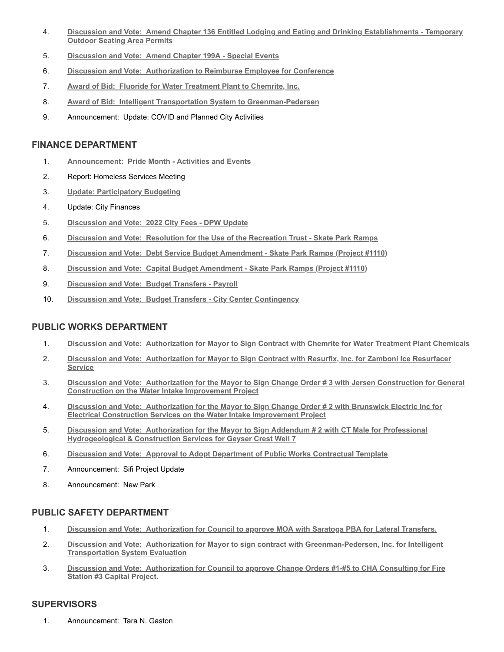- 4. **Discussion and Vote: [Amend Chapter 136 Entitled Lodging and Eating and Drinking Establishments Temporary](http://agenda.saratoga-springs.org/agendainternal/Bluesheet.aspx?ItemID=19940&MeetingID=1561) Outdoor Seating Area Permits**
- 5. **Discussion and Vote: [Amend Chapter 199A Special Events](http://agenda.saratoga-springs.org/agendainternal/Bluesheet.aspx?ItemID=19941&MeetingID=1561)**
- 6. **Discussion and Vote: [Authorization to Reimburse Employee for Conference](http://agenda.saratoga-springs.org/agendainternal/Bluesheet.aspx?ItemID=19942&MeetingID=1561)**
- 7. **Award of Bid: [Fluoride for Water Treatment Plant to Chemrite, Inc.](http://agenda.saratoga-springs.org/agendainternal/Bluesheet.aspx?ItemID=19958&MeetingID=1561)**
- 8. **Award of Bid: [Intelligent Transportation System to Greenman-Pedersen](http://agenda.saratoga-springs.org/agendainternal/Bluesheet.aspx?ItemID=19959&MeetingID=1561)**
- 9. Announcement: Update: COVID and Planned City Activities

### **FINANCE DEPARTMENT**

- 1. **Announcement: [Pride Month Activities and Events](http://agenda.saratoga-springs.org/agendainternal/Bluesheet.aspx?ItemID=19936&MeetingID=1561)**
- 2. Report: Homeless Services Meeting
- 3. **[Update: Participatory Budgeting](http://agenda.saratoga-springs.org/agendainternal/Bluesheet.aspx?ItemID=19874&MeetingID=1561)**
- 4. Update: City Finances
- 5. **Discussion and Vote: [2022 City Fees DPW Update](http://agenda.saratoga-springs.org/agendainternal/Bluesheet.aspx?ItemID=19937&MeetingID=1561)**
- 6. **Discussion and Vote: [Resolution for the Use of the Recreation Trust Skate Park Ramps](http://agenda.saratoga-springs.org/agendainternal/Bluesheet.aspx?ItemID=19932&MeetingID=1561)**
- 7. **Discussion and Vote: [Debt Service Budget Amendment Skate Park Ramps \(Project #1110\)](http://agenda.saratoga-springs.org/agendainternal/Bluesheet.aspx?ItemID=19938&MeetingID=1561)**
- 8. **Discussion and Vote: [Capital Budget Amendment Skate Park Ramps \(Project #1110\)](http://agenda.saratoga-springs.org/agendainternal/Bluesheet.aspx?ItemID=19933&MeetingID=1561)**
- 9. **Discussion and Vote: [Budget Transfers Payroll](http://agenda.saratoga-springs.org/agendainternal/Bluesheet.aspx?ItemID=19930&MeetingID=1561)**
- 10. **Discussion and Vote: [Budget Transfers City Center Contingency](http://agenda.saratoga-springs.org/agendainternal/Bluesheet.aspx?ItemID=19931&MeetingID=1561)**

### **PUBLIC WORKS DEPARTMENT**

- 1. **Discussion and Vote: [Authorization for Mayor to Sign Contract with Chemrite for Water Treatment Plant Chemicals](http://agenda.saratoga-springs.org/agendainternal/Bluesheet.aspx?ItemID=19828&MeetingID=1561)**
- 2. **Discussion and Vote: [Authorization for Mayor to Sign Contract with Resurfix, Inc. for Zamboni Ice Resurfacer](http://agenda.saratoga-springs.org/agendainternal/Bluesheet.aspx?ItemID=19890&MeetingID=1561) Service**
- 3. **Discussion and Vote: [Authorization for the Mayor to Sign Change Order # 3 with Jersen Construction for General](http://agenda.saratoga-springs.org/agendainternal/Bluesheet.aspx?ItemID=19891&MeetingID=1561) Construction on the Water Intake Improvement Project**
- 4. **Discussion and Vote: [Authorization for the Mayor to Sign Change Order # 2 with Brunswick Electric Inc for](http://agenda.saratoga-springs.org/agendainternal/Bluesheet.aspx?ItemID=19921&MeetingID=1561) Electrical Construction Services on the Water Intake Improvement Project**
- 5. **Discussion and Vote: [Authorization for the Mayor to Sign Addendum # 2 with CT Male for Professional](http://agenda.saratoga-springs.org/agendainternal/Bluesheet.aspx?ItemID=19894&MeetingID=1561) Hydrogeological & Construction Services for Geyser Crest Well 7**
- 6. **Discussion and Vote: [Approval to Adopt Department of Public Works Contractual Template](http://agenda.saratoga-springs.org/agendainternal/Bluesheet.aspx?ItemID=19935&MeetingID=1561)**
- 7. Announcement: Sifi Project Update
- 8. Announcement: New Park

## **PUBLIC SAFETY DEPARTMENT**

- 1. **Discussion and Vote: [Authorization for Council to approve MOA with Saratoga PBA for Lateral Transfers.](http://agenda.saratoga-springs.org/agendainternal/Bluesheet.aspx?ItemID=19949&MeetingID=1561)**
- 2. **Discussion and Vote: [Authorization for Mayor to sign contract with Greenman-Pedersen, Inc. for Intelligent](http://agenda.saratoga-springs.org/agendainternal/Bluesheet.aspx?ItemID=19950&MeetingID=1561) Transportation System Evaluation**
- 3. **Discussion and Vote: [Authorization for Council to approve Change Orders #1-#5 to CHA Consulting for Fire](http://agenda.saratoga-springs.org/agendainternal/Bluesheet.aspx?ItemID=19951&MeetingID=1561) Station #3 Capital Project.**

## **SUPERVISORS**

1. Announcement: Tara N. Gaston